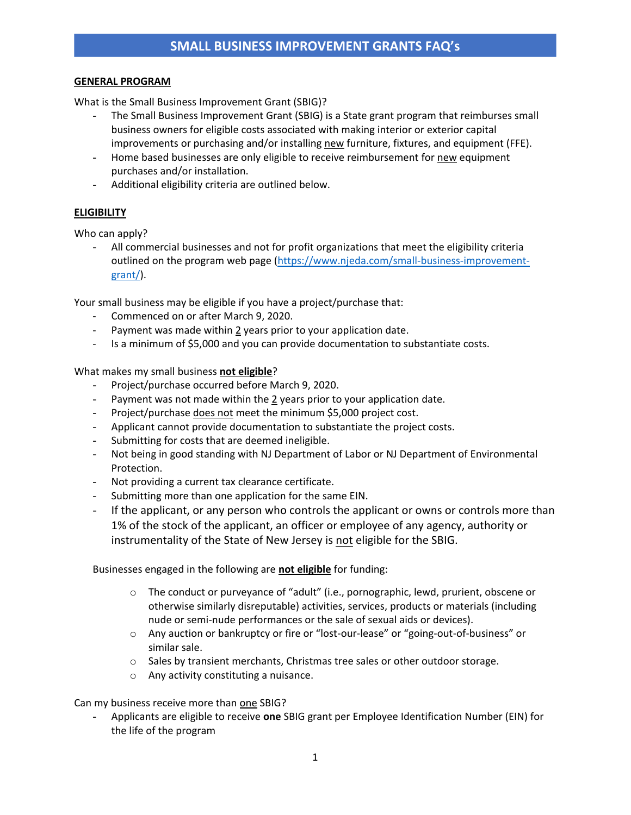## **GENERAL PROGRAM**

What is the Small Business Improvement Grant (SBIG)?

- The Small Business Improvement Grant (SBIG) is a State grant program that reimburses small business owners for eligible costs associated with making interior or exterior capital improvements or purchasing and/or installing new furniture, fixtures, and equipment (FFE).
- Home based businesses are only eligible to receive reimbursement for new equipment purchases and/or installation.
- Additional eligibility criteria are outlined below.

# **ELIGIBILITY**

Who can apply?

All commercial businesses and not for profit organizations that meet the eligibility criteria outlined on the program web page [\(https://www.njeda.com/small-business-improvement](https://www.njeda.com/small-business-improvement-grant/)[grant/\)](https://www.njeda.com/small-business-improvement-grant/).

Your small business may be eligible if you have a project/purchase that:

- Commenced on or after March 9, 2020.
- Payment was made within 2 years prior to your application date.
- Is a minimum of \$5,000 and you can provide documentation to substantiate costs.

What makes my small business **not eligible**?

- Project/purchase occurred before March 9, 2020.
- Payment was not made within the  $2$  years prior to your application date.
- Project/purchase does not meet the minimum \$5,000 project cost.
- Applicant cannot provide documentation to substantiate the project costs.
- Submitting for costs that are deemed ineligible.
- Not being in good standing with NJ Department of Labor or NJ Department of Environmental Protection.
- Not providing a current tax clearance certificate.
- Submitting more than one application for the same EIN.
- If the applicant, or any person who controls the applicant or owns or controls more than 1% of the stock of the applicant, an officer or employee of any agency, authority or instrumentality of the State of New Jersey is not eligible for the SBIG.

Businesses engaged in the following are **not eligible** for funding:

- o The conduct or purveyance of "adult" (i.e., pornographic, lewd, prurient, obscene or otherwise similarly disreputable) activities, services, products or materials (including nude or semi-nude performances or the sale of sexual aids or devices).
- o Any auction or bankruptcy or fire or "lost-our-lease" or "going-out-of-business" or similar sale.
- o Sales by transient merchants, Christmas tree sales or other outdoor storage.
- o Any activity constituting a nuisance.

Can my business receive more than one SBIG?

- Applicants are eligible to receive **one** SBIG grant per Employee Identification Number (EIN) for the life of the program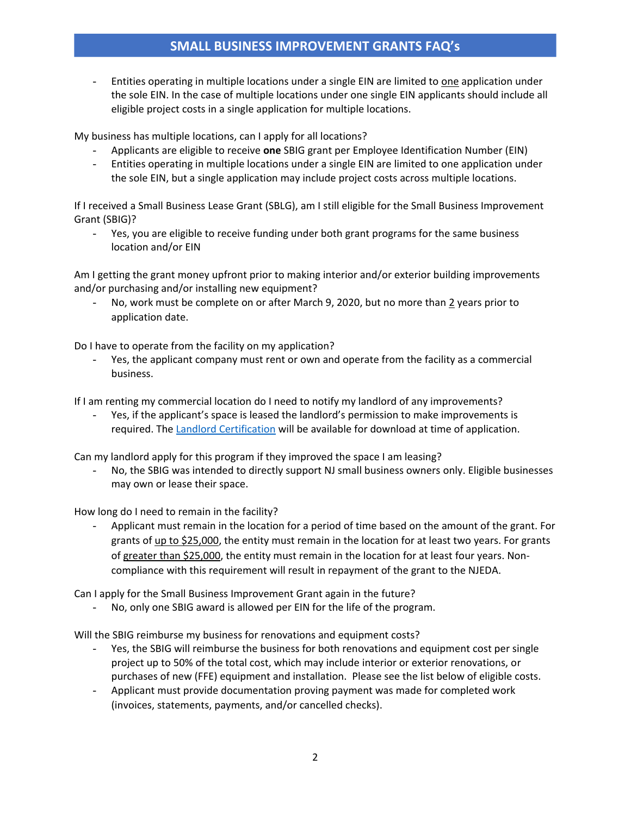# **SMALL BUSINESS IMPROVEMENT GRANTS FAQ's**

- Entities operating in multiple locations under a single EIN are limited to one application under the sole EIN. In the case of multiple locations under one single EIN applicants should include all eligible project costs in a single application for multiple locations.

My business has multiple locations, can I apply for all locations?

- Applicants are eligible to receive **one** SBIG grant per Employee Identification Number (EIN)
- Entities operating in multiple locations under a single EIN are limited to one application under the sole EIN, but a single application may include project costs across multiple locations.

If I received a Small Business Lease Grant (SBLG), am I still eligible for the Small Business Improvement Grant (SBIG)?

- Yes, you are eligible to receive funding under both grant programs for the same business location and/or EIN

Am I getting the grant money upfront prior to making interior and/or exterior building improvements and/or purchasing and/or installing new equipment?

No, work must be complete on or after March 9, 2020, but no more than 2 years prior to application date.

Do I have to operate from the facility on my application?

Yes, the applicant company must rent or own and operate from the facility as a commercial business.

If I am renting my commercial location do I need to notify my landlord of any improvements?

- Yes, if the applicant's space is leased the landlord's permission to make improvements is required. The [Landlord Certification](https://www.njeda.com/wp-content/uploads/2021/10/Landlord-Certification-Form-Business-Improvement-Grant-Final.pdf) will be available for download at time of application.

Can my landlord apply for this program if they improved the space I am leasing?

No, the SBIG was intended to directly support NJ small business owners only. Eligible businesses may own or lease their space.

How long do I need to remain in the facility?

Applicant must remain in the location for a period of time based on the amount of the grant. For grants of up to \$25,000, the entity must remain in the location for at least two years. For grants of greater than \$25,000, the entity must remain in the location for at least four years. Noncompliance with this requirement will result in repayment of the grant to the NJEDA.

Can I apply for the Small Business Improvement Grant again in the future?

No, only one SBIG award is allowed per EIN for the life of the program.

Will the SBIG reimburse my business for renovations and equipment costs?

- Yes, the SBIG will reimburse the business for both renovations and equipment cost per single project up to 50% of the total cost, which may include interior or exterior renovations, or purchases of new (FFE) equipment and installation. Please see the list below of eligible costs.
- Applicant must provide documentation proving payment was made for completed work (invoices, statements, payments, and/or cancelled checks).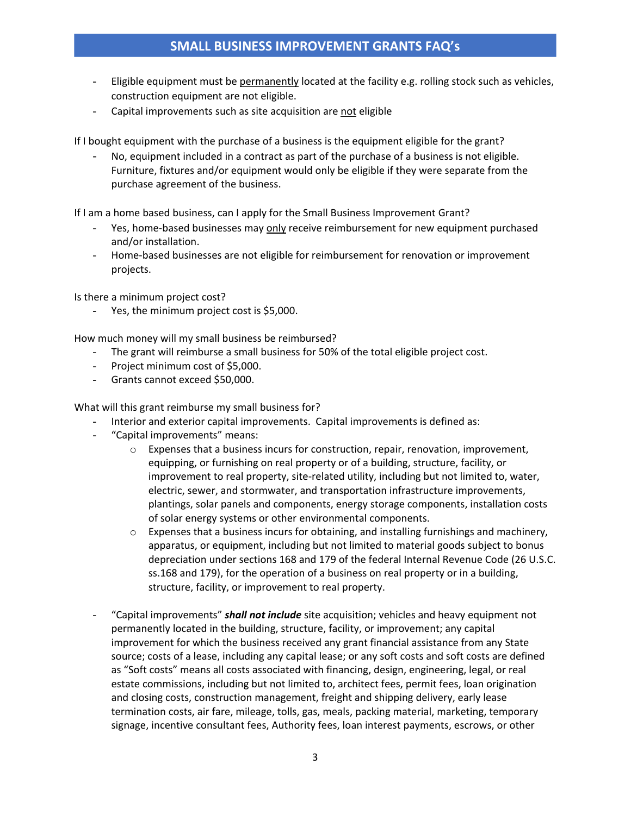- Eligible equipment must be permanently located at the facility e.g. rolling stock such as vehicles, construction equipment are not eligible.
- Capital improvements such as site acquisition are not eligible

If I bought equipment with the purchase of a business is the equipment eligible for the grant?

No, equipment included in a contract as part of the purchase of a business is not eligible. Furniture, fixtures and/or equipment would only be eligible if they were separate from the purchase agreement of the business.

If I am a home based business, can I apply for the Small Business Improvement Grant?

- Yes, home-based businesses may only receive reimbursement for new equipment purchased and/or installation.
- Home-based businesses are not eligible for reimbursement for renovation or improvement projects.

Is there a minimum project cost?

Yes, the minimum project cost is \$5,000.

How much money will my small business be reimbursed?

- The grant will reimburse a small business for 50% of the total eligible project cost.
- Project minimum cost of \$5,000.
- Grants cannot exceed \$50,000.

What will this grant reimburse my small business for?

- Interior and exterior capital improvements. Capital improvements is defined as:
- "Capital improvements" means:
	- o Expenses that a business incurs for construction, repair, renovation, improvement, equipping, or furnishing on real property or of a building, structure, facility, or improvement to real property, site-related utility, including but not limited to, water, electric, sewer, and stormwater, and transportation infrastructure improvements, plantings, solar panels and components, energy storage components, installation costs of solar energy systems or other environmental components.
	- $\circ$  Expenses that a business incurs for obtaining, and installing furnishings and machinery, apparatus, or equipment, including but not limited to material goods subject to bonus depreciation under sections 168 and 179 of the federal Internal Revenue Code (26 U.S.C. ss.168 and 179), for the operation of a business on real property or in a building, structure, facility, or improvement to real property.
- "Capital improvements" *shall not include* site acquisition; vehicles and heavy equipment not permanently located in the building, structure, facility, or improvement; any capital improvement for which the business received any grant financial assistance from any State source; costs of a lease, including any capital lease; or any soft costs and soft costs are defined as "Soft costs" means all costs associated with financing, design, engineering, legal, or real estate commissions, including but not limited to, architect fees, permit fees, loan origination and closing costs, construction management, freight and shipping delivery, early lease termination costs, air fare, mileage, tolls, gas, meals, packing material, marketing, temporary signage, incentive consultant fees, Authority fees, loan interest payments, escrows, or other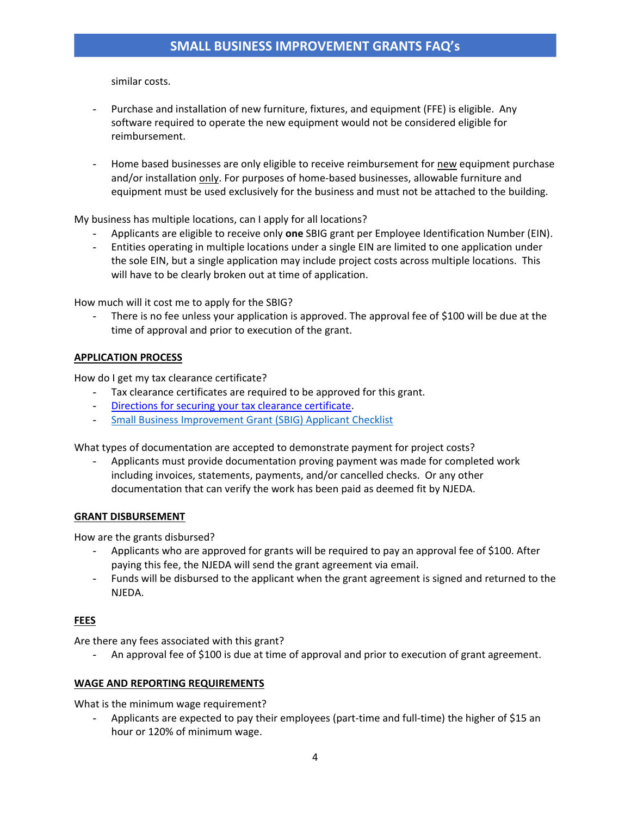similar costs.

- Purchase and installation of new furniture, fixtures, and equipment (FFE) is eligible. Any software required to operate the new equipment would not be considered eligible for reimbursement.
- Home based businesses are only eligible to receive reimbursement for new equipment purchase and/or installation only. For purposes of home-based businesses, allowable furniture and equipment must be used exclusively for the business and must not be attached to the building.

My business has multiple locations, can I apply for all locations?

- Applicants are eligible to receive only **one** SBIG grant per Employee Identification Number (EIN).
- Entities operating in multiple locations under a single EIN are limited to one application under the sole EIN, but a single application may include project costs across multiple locations. This will have to be clearly broken out at time of application.

How much will it cost me to apply for the SBIG?

There is no fee unless your application is approved. The approval fee of \$100 will be due at the time of approval and prior to execution of the grant.

#### **APPLICATION PROCESS**

How do I get my tax clearance certificate?

- Tax clearance certificates are required to be approved for this grant.
- [Directions for securing your tax clearance certificate.](https://www.njeda.com/wp-content/uploads/2021/08/Securing-Your-Tax-Clearance-Certificate-Directions-Client.pdf)
- [Small Business Improvement Grant \(SBIG\) Applicant Checklist](https://1e7pr71cey5c3ol2neoaoz31-wpengine.netdna-ssl.com/wp-content/uploads/2021/11/Small-Business-improvement-Grant-Applicant-Checklist.pdf)

What types of documentation are accepted to demonstrate payment for project costs?

- Applicants must provide documentation proving payment was made for completed work including invoices, statements, payments, and/or cancelled checks. Or any other documentation that can verify the work has been paid as deemed fit by NJEDA.

#### **GRANT DISBURSEMENT**

How are the grants disbursed?

- Applicants who are approved for grants will be required to pay an approval fee of \$100. After paying this fee, the NJEDA will send the grant agreement via email.
- Funds will be disbursed to the applicant when the grant agreement is signed and returned to the NJEDA.

## **FEES**

Are there any fees associated with this grant?

- An approval fee of \$100 is due at time of approval and prior to execution of grant agreement.

#### **WAGE AND REPORTING REQUIREMENTS**

What is the minimum wage requirement?

Applicants are expected to pay their employees (part-time and full-time) the higher of \$15 an hour or 120% of minimum wage.